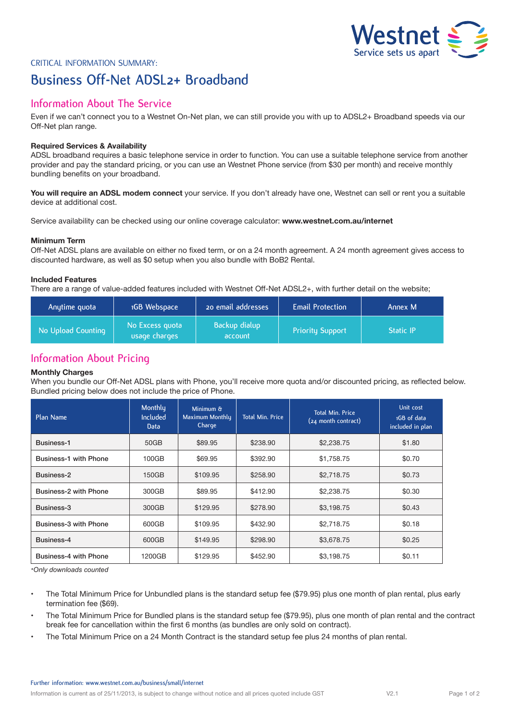

# Critical Information Summary: **Business Off-Net ADSL2+ Broadband**

## **Information About The Service**

Even if we can't connect you to a Westnet On-Net plan, we can still provide you with up to ADSL2+ Broadband speeds via our Off-Net plan range.

## **Required Services & Availability**

ADSL broadband requires a basic telephone service in order to function. You can use a suitable telephone service from another provider and pay the standard pricing, or you can use an Westnet Phone service (from \$30 per month) and receive monthly bundling benefits on your broadband.

**You will require an ADSL modem connect** your service. If you don't already have one, Westnet can sell or rent you a suitable device at additional cost.

Service availability can be checked using our online coverage calculator: **www.westnet.com.au/internet**

## **Minimum Term**

Off-Net ADSL plans are available on either no fixed term, or on a 24 month agreement. A 24 month agreement gives access to discounted hardware, as well as \$0 setup when you also bundle with BoB2 Rental.

## **Included Features**

There are a range of value-added features included with Westnet Off-Net ADSL2+, with further detail on the website;

| Anytime quota      | 1GB Webspace                     | 20 email addresses       | <b>Email Protection</b> | Annex M          |
|--------------------|----------------------------------|--------------------------|-------------------------|------------------|
| No Upload Counting | No Excess quota<br>usage charges | Backup dialup<br>account | <b>Priority Support</b> | <b>Static IP</b> |

## **Information About Pricing**

## **Monthly Charges**

When you bundle our Off-Net ADSL plans with Phone, you'll receive more quota and/or discounted pricing, as reflected below. Bundled pricing below does not include the price of Phone.

| Plan Name                    | Monthly<br>Included<br>Data | Minimum &<br>Maximum Monthly<br>Charge | <b>Total Min. Price</b> | <b>Total Min. Price</b><br>(24 month contract) | Unit cost<br>1GB of data<br>included in plan |
|------------------------------|-----------------------------|----------------------------------------|-------------------------|------------------------------------------------|----------------------------------------------|
| Business-1                   | 50GB                        | \$89.95                                | \$238.90                | \$2,238,75                                     | \$1.80                                       |
| <b>Business-1 with Phone</b> | 100GB                       | \$69.95                                | \$392.90                | \$1,758.75                                     | \$0.70                                       |
| Business-2                   | 150GB                       | \$109.95                               | \$258.90                | \$2,718.75                                     | \$0.73                                       |
| Business-2 with Phone        | 300GB                       | \$89.95                                | \$412.90                | \$2,238.75                                     | \$0.30                                       |
| Business-3                   | 300GB                       | \$129.95                               | \$278.90                | \$3,198.75                                     | \$0.43                                       |
| Business-3 with Phone        | 600GB                       | \$109.95                               | \$432.90                | \$2,718.75                                     | \$0.18                                       |
| Business-4                   | 600GB                       | \$149.95                               | \$298.90                | \$3,678.75                                     | \$0.25                                       |
| <b>Business-4 with Phone</b> | 1200GB                      | \$129.95                               | \$452.90                | \$3.198.75                                     | \$0.11                                       |

*\*Only downloads counted*

- The Total Minimum Price for Unbundled plans is the standard setup fee (\$79.95) plus one month of plan rental, plus early termination fee (\$69).
- The Total Minimum Price for Bundled plans is the standard setup fee (\$79.95), plus one month of plan rental and the contract break fee for cancellation within the first 6 months (as bundles are only sold on contract).
- The Total Minimum Price on a 24 Month Contract is the standard setup fee plus 24 months of plan rental.